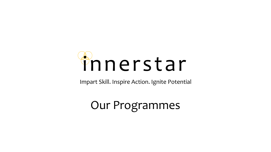

Impart Skill. Inspire Action. Ignite Potential

### Our Programmes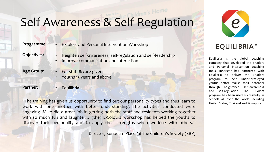# Self Awareness & Self Regulation

**Programme:**

• E-Colors and Personal Intervention Workshop

**Objectives:**

• Heighten self-awareness, self-regulation and self-leadership • Improve communication and interaction

**Age Group:** 

- For staff & care-givers
- Youths 13 years and above

**Partner:**

**Equilibria** 

"The training has given us opportunity to find out our personality types and thus learn to work with one another with better understanding. The activities conducted were engaging. Mike did a great job in getting both the staff and residents working together with so much fun and laughter... (the) E-Colours workshop has helped the youths to discover their personality and to apply their strengths when working with others."

Director, Sunbeam Place @ The Children's Society (SBP)



#### **EQUILIBRIA™**

Equilibria is the global coaching company that developed the E-Colors and Personal Intervention coaching tools. Innerstar has partnered with Equilibria to deliver the E-Colors program to help under-privileged youths better realise their potential through heightened self-awareness and self-regulation. The E-Colors program has been used successfully in schools all over the world including United States, Thailand and Singapore.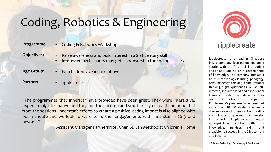### Coding, Robotics & Engineering

| Programme: |  |
|------------|--|
|------------|--|

• Coding & Robotics Workshops

**Objectives:**

• Raise awareness and build interest in a 21st century skill • Interested participants may get a sponsorship for coding classes

**Age Group:** 

• For children 7 years and above

**Partner:**

• ripplecreate

"The programmes that Innerstar have provided have been great. They were interactive, experiential, informative and fun; and the children and youth really enjoyed and benefited from the sessions. Innerstar's efforts to create a positive lasting impact is also aligned with our mandate and we look forward to further engagements with Innerstar in 2019 and beyond."

Assistant Manager Partnerships, Chen Su Lan Methodist Children's Home



#### ripplecreate

Ripplecreate is a leading Singapore based company focused on equipping youths with the future skill of coding and an aptitude in STEM\* -related fields of knowledge. The company pursues a holistic technology-learning pedagogy, covering design thinking, computational thinking, digital quotient as well as selfdirected, inquiry-based and experiential learning. Trusted by educators from over 100 schools in Singapore, Ripplecreate's programs have benefited more than 10,000 students across a diverse range of domains from coding and robotics to cybersecurity. Innerstar is partnering Ripplecreate to equip underprivileged youths with the knowledge, mindset, skills and creativity to succeed in the 21st century and beyond.

\* Science, Technology, Engineering & Mathematics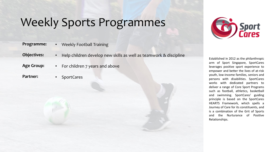### Weekly Sports Programmes

| Programme: | Weekly Football Training |
|------------|--------------------------|
|------------|--------------------------|

**Objectives:** • Help children develop new skills as well as teamwork & discipline

- **Age Group:**  • For children 7 years and above
- **Partner:**
- SportCares



Established in 2012 as the philanthropic arm of Sport Singapore, SportCares leverages positive sport experience to empower and better the lives of at-risk youth, low-income families, seniors and persons with disabilities. SportCares works with dedicated partners to deliver a range of Core Sport Programs such as football, athletics, basketball and swimming. SportCares' guiding principle is based on the SportCares HEARTS Framework, which spells a Journey of Care for its constituents, and is a combination of the Grit of Sports and the Nurturance of Positive Relationships.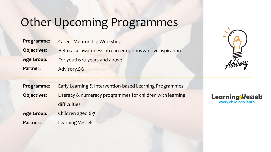### Other Upcoming Programmes

| Programme:         | <b>Career Mentorship Workshops</b>                        |
|--------------------|-----------------------------------------------------------|
| <b>Objectives:</b> | Help raise awareness on career options & drive aspiration |
| <b>Age Group:</b>  | For youths 17 years and above                             |
| <b>Partner:</b>    | Advisory.SG                                               |



| Programme:         | Early Learning & Intervention-based Learning Programmes   |  |
|--------------------|-----------------------------------------------------------|--|
| <b>Objectives:</b> | Literacy & numeracy programmes for children with learning |  |
|                    | difficulties                                              |  |
| <b>Age Group:</b>  | Children aged 6-7                                         |  |
| Partner:           | <b>Learning Vessels</b>                                   |  |